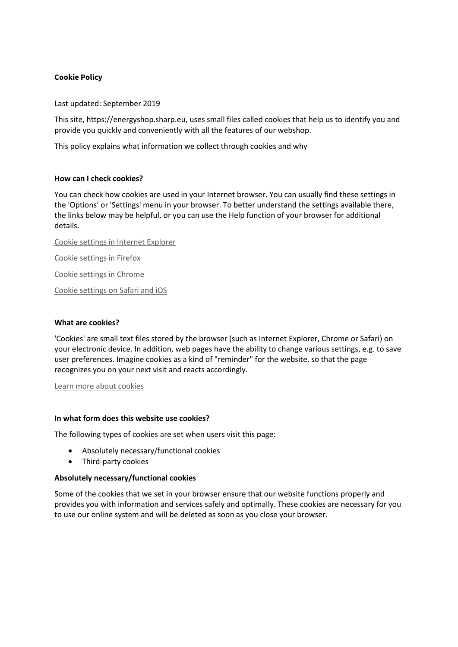# **Cookie Policy**

Last updated: September 2019

This site, https://energyshop.sharp.eu, uses small files called cookies that help us to identify you and provide you quickly and conveniently with all the features of our webshop.

This policy explains what information we collect through cookies and why

### **How can I check cookies?**

You can check how cookies are used in your Internet browser. You can usually find these settings in the 'Options' or 'Settings' menu in your browser. To better understand the settings available there, the links below may be helpful, or you can use the Help function of your browser for additional details.

Cookie settings in Internet Explorer

Cookie settings in Firefox

Cookie settings in Chrome

Cookie settings on Safari and iOS

### **What are cookies?**

'Cookies' are small text files stored by the browser (such as Internet Explorer, Chrome or Safari) on your electronic device. In addition, web pages have the ability to change various settings, e.g. to save user preferences. Imagine cookies as a kind of "reminder" for the website, so that the page recognizes you on your next visit and reacts accordingly.

Learn more about cookies

#### **In what form does this website use cookies?**

The following types of cookies are set when users visit this page:

- Absolutely necessary/functional cookies
- Third-party cookies

#### **Absolutely necessary/functional cookies**

Some of the cookies that we set in your browser ensure that our website functions properly and provides you with information and services safely and optimally. These cookies are necessary for you to use our online system and will be deleted as soon as you close your browser.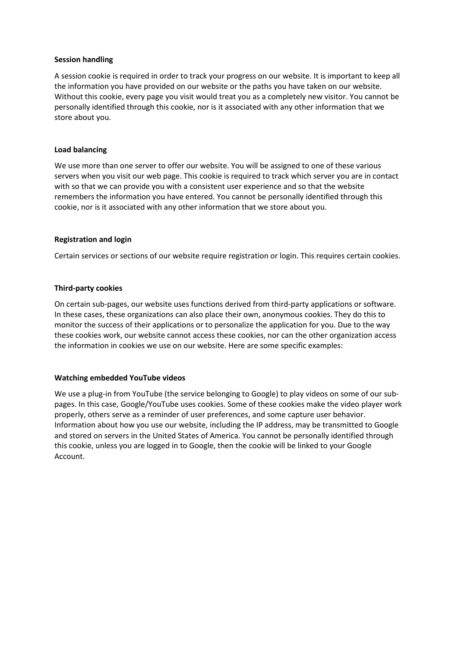## **Session handling**

A session cookie is required in order to track your progress on our website. It is important to keep all the information you have provided on our website or the paths you have taken on our website. Without this cookie, every page you visit would treat you as a completely new visitor. You cannot be personally identified through this cookie, nor is it associated with any other information that we store about you.

## **Load balancing**

We use more than one server to offer our website. You will be assigned to one of these various servers when you visit our web page. This cookie is required to track which server you are in contact with so that we can provide you with a consistent user experience and so that the website remembers the information you have entered. You cannot be personally identified through this cookie, nor is it associated with any other information that we store about you.

### **Registration and login**

Certain services or sections of our website require registration or login. This requires certain cookies.

# **Third-party cookies**

On certain sub-pages, our website uses functions derived from third-party applications or software. In these cases, these organizations can also place their own, anonymous cookies. They do this to monitor the success of their applications or to personalize the application for you. Due to the way these cookies work, our website cannot access these cookies, nor can the other organization access the information in cookies we use on our website. Here are some specific examples:

# **Watching embedded YouTube videos**

We use a plug-in from YouTube (the service belonging to Google) to play videos on some of our subpages. In this case, Google/YouTube uses cookies. Some of these cookies make the video player work properly, others serve as a reminder of user preferences, and some capture user behavior. Information about how you use our website, including the IP address, may be transmitted to Google and stored on servers in the United States of America. You cannot be personally identified through this cookie, unless you are logged in to Google, then the cookie will be linked to your Google Account.